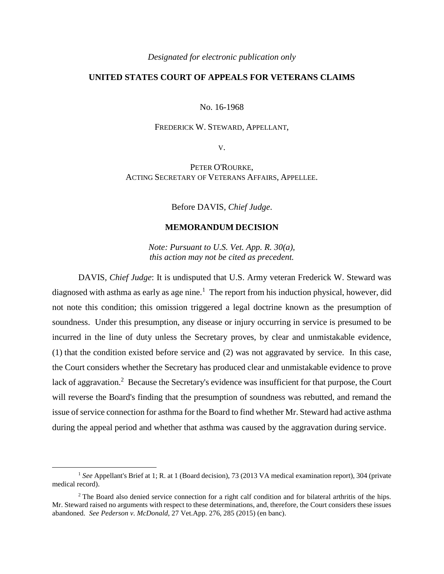*Designated for electronic publication only*

# **UNITED STATES COURT OF APPEALS FOR VETERANS CLAIMS**

#### No. 16-1968

### FREDERICK W. STEWARD, APPELLANT,

V.

PETER O'ROURKE, ACTING SECRETARY OF VETERANS AFFAIRS, APPELLEE.

Before DAVIS, *Chief Judge*.

## **MEMORANDUM DECISION**

*Note: Pursuant to U.S. Vet. App. R. 30(a), this action may not be cited as precedent.*

DAVIS, *Chief Judge*: It is undisputed that U.S. Army veteran Frederick W. Steward was diagnosed with asthma as early as age nine.<sup>1</sup> The report from his induction physical, however, did not note this condition; this omission triggered a legal doctrine known as the presumption of soundness. Under this presumption, any disease or injury occurring in service is presumed to be incurred in the line of duty unless the Secretary proves, by clear and unmistakable evidence, (1) that the condition existed before service and (2) was not aggravated by service. In this case, the Court considers whether the Secretary has produced clear and unmistakable evidence to prove lack of aggravation.<sup>2</sup> Because the Secretary's evidence was insufficient for that purpose, the Court will reverse the Board's finding that the presumption of soundness was rebutted, and remand the issue of service connection for asthma for the Board to find whether Mr. Steward had active asthma during the appeal period and whether that asthma was caused by the aggravation during service.

<sup>&</sup>lt;sup>1</sup> See Appellant's Brief at 1; R. at 1 (Board decision), 73 (2013 VA medical examination report), 304 (private medical record).

<sup>&</sup>lt;sup>2</sup> The Board also denied service connection for a right calf condition and for bilateral arthritis of the hips. Mr. Steward raised no arguments with respect to these determinations, and, therefore, the Court considers these issues abandoned. *See Pederson v. McDonald*, 27 Vet.App. 276, 285 (2015) (en banc).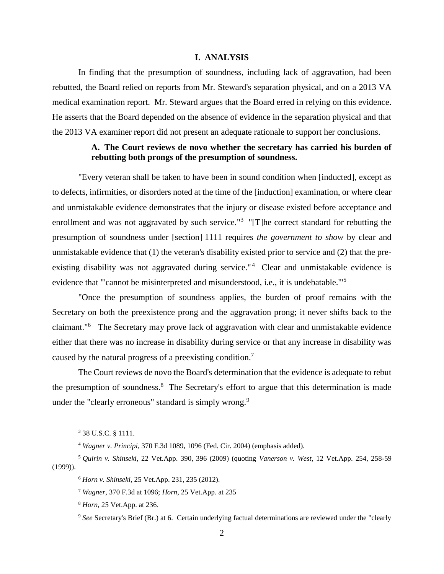#### **I. ANALYSIS**

In finding that the presumption of soundness, including lack of aggravation, had been rebutted, the Board relied on reports from Mr. Steward's separation physical, and on a 2013 VA medical examination report. Mr. Steward argues that the Board erred in relying on this evidence. He asserts that the Board depended on the absence of evidence in the separation physical and that the 2013 VA examiner report did not present an adequate rationale to support her conclusions.

# **A. The Court reviews de novo whether the secretary has carried his burden of rebutting both prongs of the presumption of soundness.**

"Every veteran shall be taken to have been in sound condition when [inducted], except as to defects, infirmities, or disorders noted at the time of the [induction] examination, or where clear and unmistakable evidence demonstrates that the injury or disease existed before acceptance and enrollment and was not aggravated by such service."<sup>3</sup> "[T]he correct standard for rebutting the presumption of soundness under [section] 1111 requires *the government to show* by clear and unmistakable evidence that (1) the veteran's disability existed prior to service and (2) that the preexisting disability was not aggravated during service."<sup>4</sup> Clear and unmistakable evidence is evidence that "'cannot be misinterpreted and misunderstood, i.e., it is undebatable.'"<sup>5</sup>

"Once the presumption of soundness applies, the burden of proof remains with the Secretary on both the preexistence prong and the aggravation prong; it never shifts back to the claimant."<sup>6</sup> The Secretary may prove lack of aggravation with clear and unmistakable evidence either that there was no increase in disability during service or that any increase in disability was caused by the natural progress of a preexisting condition.<sup>7</sup>

The Court reviews de novo the Board's determination that the evidence is adequate to rebut the presumption of soundness.<sup>8</sup> The Secretary's effort to argue that this determination is made under the "clearly erroneous" standard is simply wrong. $9$ 

<sup>3</sup> 38 U.S.C. § 1111.

<sup>4</sup> *Wagner v. Principi*, 370 F.3d 1089, 1096 (Fed. Cir. 2004) (emphasis added).

<sup>5</sup> *Quirin v. Shinseki*, 22 Vet.App. 390, 396 (2009) (quoting *Vanerson v. West*, 12 Vet.App. 254, 258-59 (1999)).

<sup>6</sup> *Horn v. Shinseki*, 25 Vet.App. 231, 235 (2012).

<sup>7</sup> *Wagner*, 370 F.3d at 1096; *Horn*, 25 Vet.App. at 235

<sup>8</sup> *Horn*, 25 Vet.App. at 236.

<sup>&</sup>lt;sup>9</sup> See Secretary's Brief (Br.) at 6. Certain underlying factual determinations are reviewed under the "clearly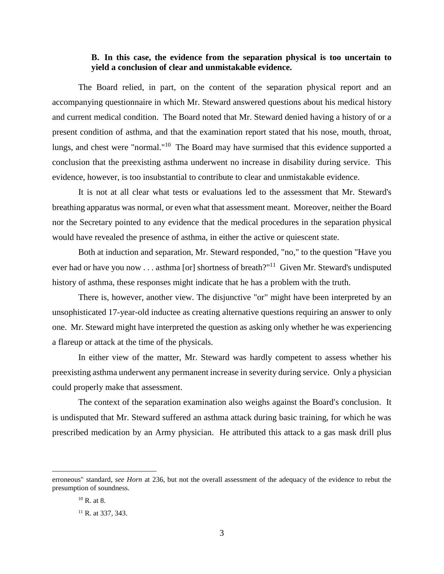## **B. In this case, the evidence from the separation physical is too uncertain to yield a conclusion of clear and unmistakable evidence.**

The Board relied, in part, on the content of the separation physical report and an accompanying questionnaire in which Mr. Steward answered questions about his medical history and current medical condition. The Board noted that Mr. Steward denied having a history of or a present condition of asthma, and that the examination report stated that his nose, mouth, throat, lungs, and chest were "normal."<sup>10</sup> The Board may have surmised that this evidence supported a conclusion that the preexisting asthma underwent no increase in disability during service. This evidence, however, is too insubstantial to contribute to clear and unmistakable evidence.

It is not at all clear what tests or evaluations led to the assessment that Mr. Steward's breathing apparatus was normal, or even what that assessment meant. Moreover, neither the Board nor the Secretary pointed to any evidence that the medical procedures in the separation physical would have revealed the presence of asthma, in either the active or quiescent state.

Both at induction and separation, Mr. Steward responded, "no," to the question "Have you ever had or have you now . . . asthma [or] shortness of breath?"<sup>11</sup> Given Mr. Steward's undisputed history of asthma, these responses might indicate that he has a problem with the truth.

There is, however, another view. The disjunctive "or" might have been interpreted by an unsophisticated 17-year-old inductee as creating alternative questions requiring an answer to only one. Mr. Steward might have interpreted the question as asking only whether he was experiencing a flareup or attack at the time of the physicals.

In either view of the matter, Mr. Steward was hardly competent to assess whether his preexisting asthma underwent any permanent increase in severity during service. Only a physician could properly make that assessment.

The context of the separation examination also weighs against the Board's conclusion. It is undisputed that Mr. Steward suffered an asthma attack during basic training, for which he was prescribed medication by an Army physician. He attributed this attack to a gas mask drill plus

erroneous" standard, *see Horn* at 236, but not the overall assessment of the adequacy of the evidence to rebut the presumption of soundness.

 $10$  R at 8.

<sup>&</sup>lt;sup>11</sup> R. at 337, 343.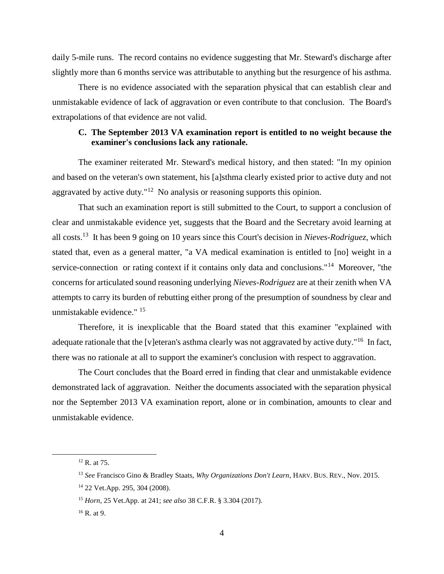daily 5-mile runs. The record contains no evidence suggesting that Mr. Steward's discharge after slightly more than 6 months service was attributable to anything but the resurgence of his asthma.

There is no evidence associated with the separation physical that can establish clear and unmistakable evidence of lack of aggravation or even contribute to that conclusion. The Board's extrapolations of that evidence are not valid.

# **C. The September 2013 VA examination report is entitled to no weight because the examiner's conclusions lack any rationale.**

The examiner reiterated Mr. Steward's medical history, and then stated: "In my opinion and based on the veteran's own statement, his [a]sthma clearly existed prior to active duty and not aggravated by active duty."<sup>12</sup> No analysis or reasoning supports this opinion.

That such an examination report is still submitted to the Court, to support a conclusion of clear and unmistakable evidence yet, suggests that the Board and the Secretary avoid learning at all costs.<sup>13</sup> It has been 9 going on 10 years since this Court's decision in *Nieves-Rodriguez*, which stated that, even as a general matter, "a VA medical examination is entitled to [no] weight in a service-connection or rating context if it contains only data and conclusions."<sup>14</sup> Moreover, "the concerns for articulated sound reasoning underlying *Nieves-Rodriguez* are at their zenith when VA attempts to carry its burden of rebutting either prong of the presumption of soundness by clear and unmistakable evidence." <sup>15</sup>

Therefore, it is inexplicable that the Board stated that this examiner "explained with adequate rationale that the [v]eteran's asthma clearly was not aggravated by active duty."<sup>16</sup> In fact, there was no rationale at all to support the examiner's conclusion with respect to aggravation.

The Court concludes that the Board erred in finding that clear and unmistakable evidence demonstrated lack of aggravation. Neither the documents associated with the separation physical nor the September 2013 VA examination report, alone or in combination, amounts to clear and unmistakable evidence.

<sup>12</sup> R. at 75.

<sup>13</sup> *See* Francisco Gino & Bradley Staats, *Why Organizations Don't Learn*, HARV. BUS. REV., Nov. 2015.

<sup>14</sup> 22 Vet.App. 295, 304 (2008).

<sup>15</sup> *Horn*, 25 Vet.App. at 241; *see also* 38 C.F.R. § 3.304 (2017).

 $16$  R. at 9.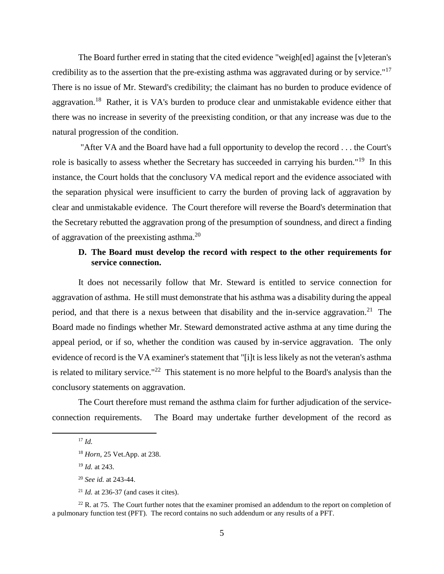The Board further erred in stating that the cited evidence "weigh[ed] against the [v]eteran's credibility as to the assertion that the pre-existing asthma was aggravated during or by service."<sup>17</sup> There is no issue of Mr. Steward's credibility; the claimant has no burden to produce evidence of aggravation.<sup>18</sup> Rather, it is VA's burden to produce clear and unmistakable evidence either that there was no increase in severity of the preexisting condition, or that any increase was due to the natural progression of the condition.

"After VA and the Board have had a full opportunity to develop the record . . . the Court's role is basically to assess whether the Secretary has succeeded in carrying his burden."<sup>19</sup> In this instance, the Court holds that the conclusory VA medical report and the evidence associated with the separation physical were insufficient to carry the burden of proving lack of aggravation by clear and unmistakable evidence. The Court therefore will reverse the Board's determination that the Secretary rebutted the aggravation prong of the presumption of soundness, and direct a finding of aggravation of the preexisting asthma.<sup>20</sup>

# **D. The Board must develop the record with respect to the other requirements for service connection.**

It does not necessarily follow that Mr. Steward is entitled to service connection for aggravation of asthma. He still must demonstrate that his asthma was a disability during the appeal period, and that there is a nexus between that disability and the in-service aggravation.<sup>21</sup> The Board made no findings whether Mr. Steward demonstrated active asthma at any time during the appeal period, or if so, whether the condition was caused by in-service aggravation. The only evidence of record is the VA examiner's statement that "[i]t is less likely as not the veteran's asthma is related to military service."<sup>22</sup> This statement is no more helpful to the Board's analysis than the conclusory statements on aggravation.

The Court therefore must remand the asthma claim for further adjudication of the serviceconnection requirements. The Board may undertake further development of the record as

 $\overline{a}$ 

 $^{22}$  R. at 75. The Court further notes that the examiner promised an addendum to the report on completion of a pulmonary function test (PFT). The record contains no such addendum or any results of a PFT.

 $^{17}$  *Id.* 

<sup>18</sup> *Horn*, 25 Vet.App. at 238.

<sup>19</sup> *Id.* at 243.

<sup>20</sup> *See id.* at 243-44.

 $^{21}$  *Id.* at 236-37 (and cases it cites).